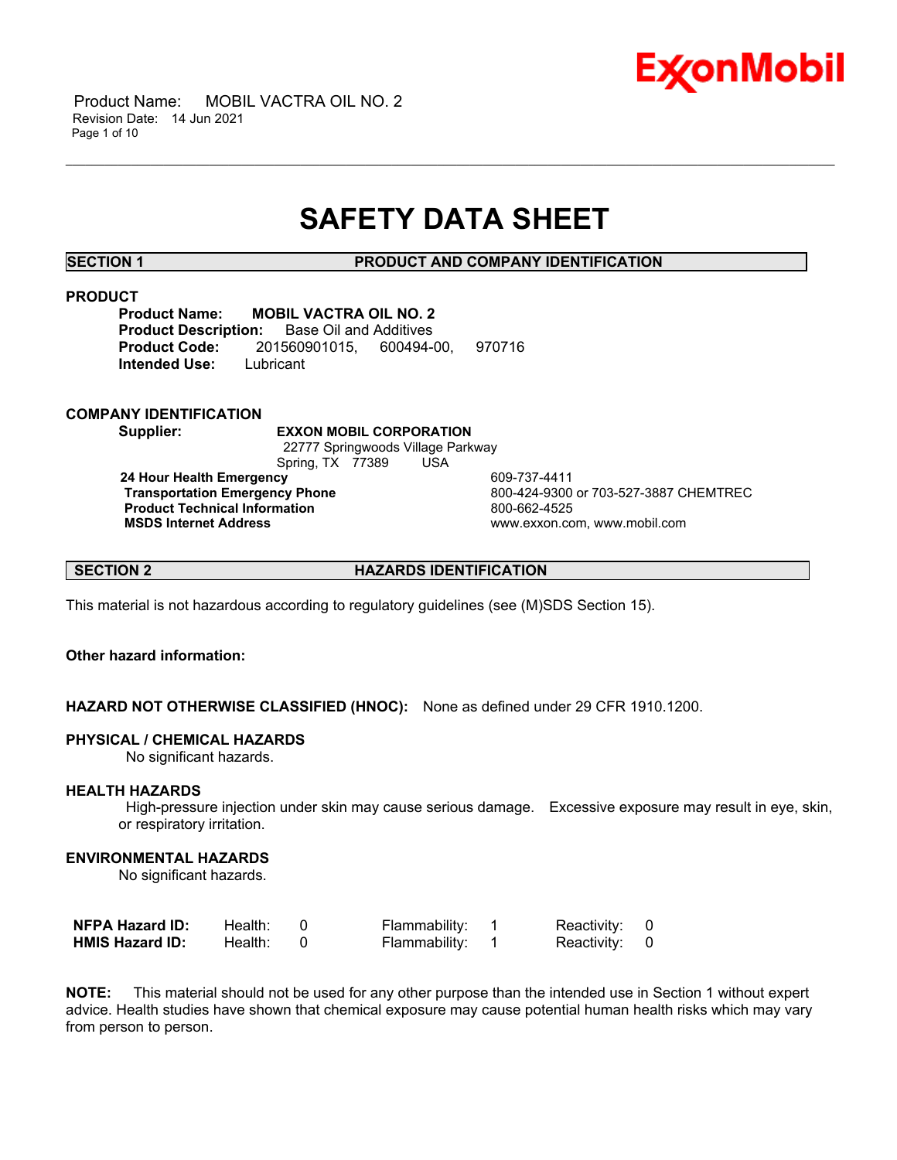

 Product Name: MOBIL VACTRA OIL NO. 2 Revision Date: 14 Jun 2021 Page 1 of 10

## **SAFETY DATA SHEET**

\_\_\_\_\_\_\_\_\_\_\_\_\_\_\_\_\_\_\_\_\_\_\_\_\_\_\_\_\_\_\_\_\_\_\_\_\_\_\_\_\_\_\_\_\_\_\_\_\_\_\_\_\_\_\_\_\_\_\_\_\_\_\_\_\_\_\_\_\_\_\_\_\_\_\_\_\_\_\_\_\_\_\_\_\_\_\_\_\_\_\_\_\_\_\_\_\_\_\_\_\_\_\_\_\_\_\_\_\_\_\_\_\_\_\_\_\_\_

**SECTION 1 PRODUCT AND COMPANY IDENTIFICATION**

#### **PRODUCT**

**Product Name: MOBIL VACTRA OIL NO. 2 Product Description:** Base Oil and Additives **Product Code:** 201560901015, 600494-00, 970716 **Intended Use:** Lubricant

**COMPANY IDENTIFICATION**

**Supplier: EXXON MOBIL CORPORATION**

 22777 Springwoods Village Parkway Spring, TX 77389 USA

**24 Hour Health Emergency 609-737-4411<br>Transportation Emergency Phone 609-424-9300 Product Technical Information**<br> **MSDS Internet Address**<br>
MSDS Internet Address

 **Transportation Emergency Phone** 800-424-9300 or 703-527-3887 CHEMTREC  **MSDS Internet Address** www.exxon.com, www.mobil.com

**SECTION 2 HAZARDS IDENTIFICATION**

This material is not hazardous according to regulatory guidelines (see (M)SDS Section 15).

## **Other hazard information:**

**HAZARD NOT OTHERWISE CLASSIFIED (HNOC):** None as defined under 29 CFR 1910.1200.

### **PHYSICAL / CHEMICAL HAZARDS**

No significant hazards.

### **HEALTH HAZARDS**

 High-pressure injection under skin may cause serious damage. Excessive exposure may result in eye, skin, or respiratory irritation.

#### **ENVIRONMENTAL HAZARDS**

No significant hazards.

| <b>NFPA Hazard ID:</b> | Health: | Flammability: | Reactivity: 0 |  |
|------------------------|---------|---------------|---------------|--|
| <b>HMIS Hazard ID:</b> | Health: | Flammability: | Reactivity: 0 |  |

**NOTE:** This material should not be used for any other purpose than the intended use in Section 1 without expert advice. Health studies have shown that chemical exposure may cause potential human health risks which may vary from person to person.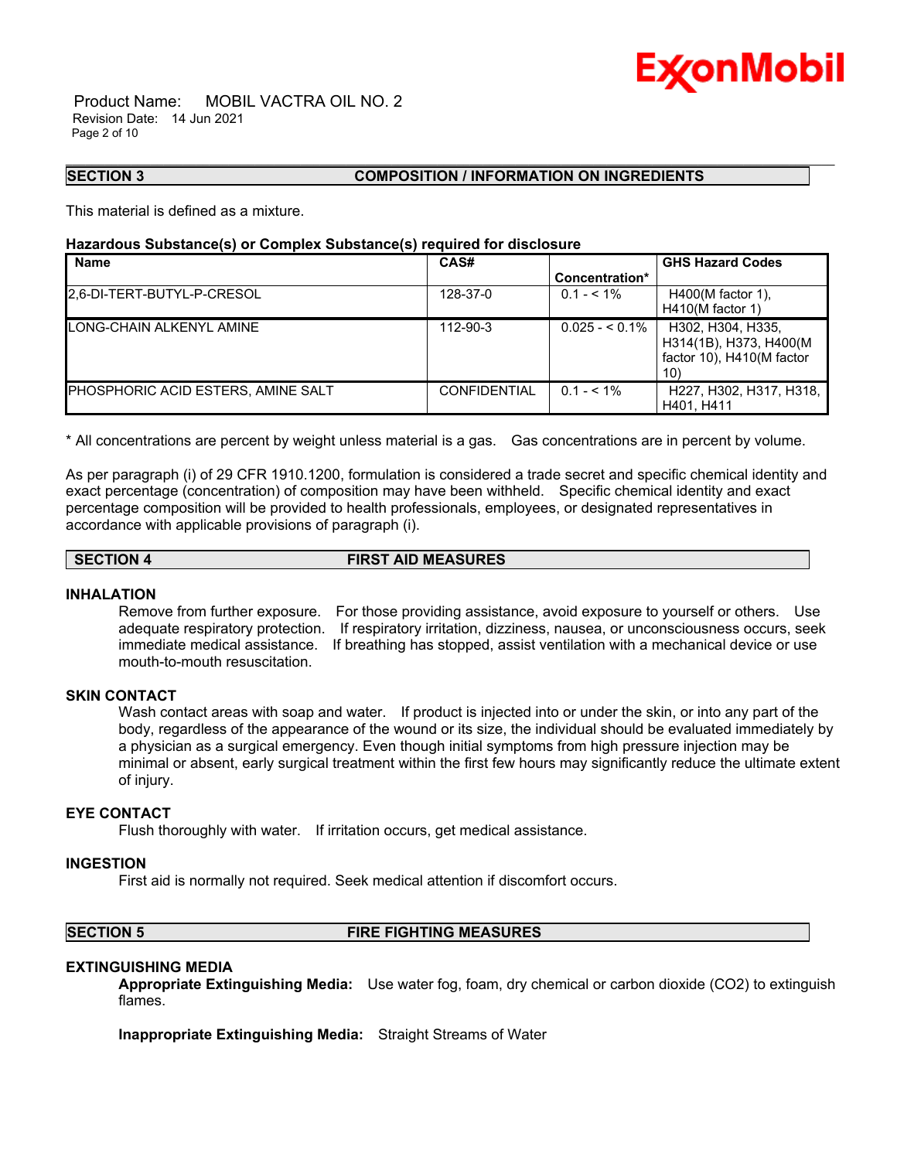

 Product Name: MOBIL VACTRA OIL NO. 2 Revision Date: 14 Jun 2021 Page 2 of 10

#### **SECTION 3 COMPOSITION / INFORMATION ON INGREDIENTS**

This material is defined as a mixture.

#### **Hazardous Substance(s) or Complex Substance(s) required for disclosure**

| <b>Name</b>                                | CAS#                |                 | <b>GHS Hazard Codes</b>                                                                  |
|--------------------------------------------|---------------------|-----------------|------------------------------------------------------------------------------------------|
|                                            |                     | Concentration*  |                                                                                          |
| 2,6-DI-TERT-BUTYL-P-CRESOL                 | 128-37-0            | $0.1 - 5.1\%$   | $H400(M$ factor 1).                                                                      |
|                                            |                     |                 | $H410(M$ factor 1)                                                                       |
| <b>LONG-CHAIN ALKENYL AMINE</b>            | 112-90-3            | $0.025 - 5.1\%$ | H302, H304, H335,<br>H314(1B), H373, H400(M<br>factor 10), H410(M factor<br>$10^{\circ}$ |
| <b>IPHOSPHORIC ACID ESTERS. AMINE SALT</b> | <b>CONFIDENTIAL</b> | $0.1 - 5.1\%$   | H227, H302, H317, H318,<br>H401. H411                                                    |

\_\_\_\_\_\_\_\_\_\_\_\_\_\_\_\_\_\_\_\_\_\_\_\_\_\_\_\_\_\_\_\_\_\_\_\_\_\_\_\_\_\_\_\_\_\_\_\_\_\_\_\_\_\_\_\_\_\_\_\_\_\_\_\_\_\_\_\_\_\_\_\_\_\_\_\_\_\_\_\_\_\_\_\_\_\_\_\_\_\_\_\_\_\_\_\_\_\_\_\_\_\_\_\_\_\_\_\_\_\_\_\_\_\_\_\_\_\_

\* All concentrations are percent by weight unless material is a gas. Gas concentrations are in percent by volume.

As per paragraph (i) of 29 CFR 1910.1200, formulation is considered a trade secret and specific chemical identity and exact percentage (concentration) of composition may have been withheld. Specific chemical identity and exact percentage composition will be provided to health professionals, employees, or designated representatives in accordance with applicable provisions of paragraph (i).

**SECTION 4 FIRST AID MEASURES**

#### **INHALATION**

Remove from further exposure. For those providing assistance, avoid exposure to yourself or others. Use adequate respiratory protection. If respiratory irritation, dizziness, nausea, or unconsciousness occurs, seek immediate medical assistance. If breathing has stopped, assist ventilation with a mechanical device or use mouth-to-mouth resuscitation.

## **SKIN CONTACT**

Wash contact areas with soap and water. If product is injected into or under the skin, or into any part of the body, regardless of the appearance of the wound or its size, the individual should be evaluated immediately by a physician as a surgical emergency. Even though initial symptoms from high pressure injection may be minimal or absent, early surgical treatment within the first few hours may significantly reduce the ultimate extent of injury.

## **EYE CONTACT**

Flush thoroughly with water. If irritation occurs, get medical assistance.

### **INGESTION**

First aid is normally not required. Seek medical attention if discomfort occurs.

#### **SECTION 5 FIRE FIGHTING MEASURES**

### **EXTINGUISHING MEDIA**

**Appropriate Extinguishing Media:** Use water fog, foam, dry chemical or carbon dioxide (CO2) to extinguish flames.

**Inappropriate Extinguishing Media:** Straight Streams of Water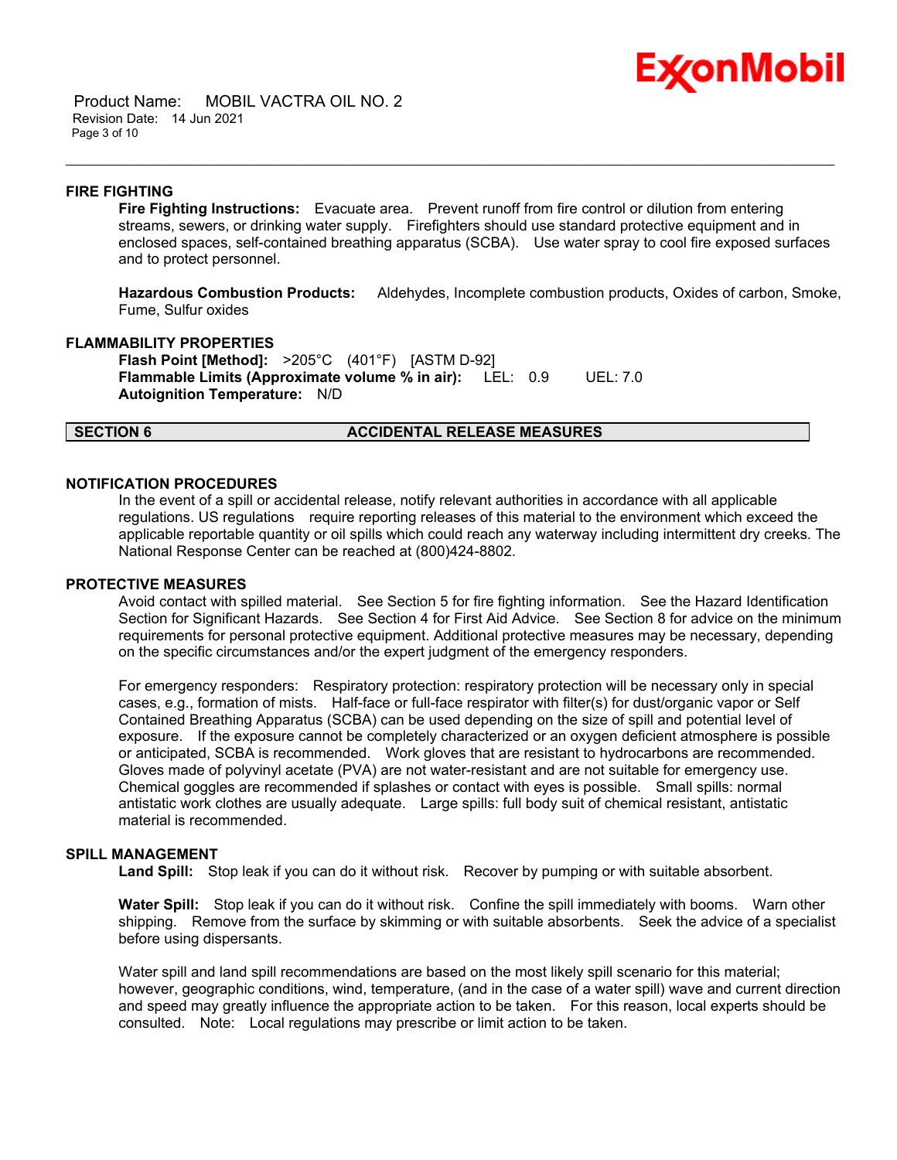## Ex⁄onMobil

 Product Name: MOBIL VACTRA OIL NO. 2 Revision Date: 14 Jun 2021 Page 3 of 10

#### **FIRE FIGHTING**

**Fire Fighting Instructions:** Evacuate area. Prevent runoff from fire control or dilution from entering streams, sewers, or drinking water supply. Firefighters should use standard protective equipment and in enclosed spaces, self-contained breathing apparatus (SCBA). Use water spray to cool fire exposed surfaces and to protect personnel.

\_\_\_\_\_\_\_\_\_\_\_\_\_\_\_\_\_\_\_\_\_\_\_\_\_\_\_\_\_\_\_\_\_\_\_\_\_\_\_\_\_\_\_\_\_\_\_\_\_\_\_\_\_\_\_\_\_\_\_\_\_\_\_\_\_\_\_\_\_\_\_\_\_\_\_\_\_\_\_\_\_\_\_\_\_\_\_\_\_\_\_\_\_\_\_\_\_\_\_\_\_\_\_\_\_\_\_\_\_\_\_\_\_\_\_\_\_\_

**Hazardous Combustion Products:** Aldehydes, Incomplete combustion products, Oxides of carbon, Smoke, Fume, Sulfur oxides

#### **FLAMMABILITY PROPERTIES**

**Flash Point [Method]:** >205°C (401°F) [ASTM D-92] **Flammable Limits (Approximate volume % in air):** LEL: 0.9 UEL: 7.0 **Autoignition Temperature:** N/D

### **SECTION 6 ACCIDENTAL RELEASE MEASURES**

## **NOTIFICATION PROCEDURES**

In the event of a spill or accidental release, notify relevant authorities in accordance with all applicable regulations. US regulations require reporting releases of this material to the environment which exceed the applicable reportable quantity or oil spills which could reach any waterway including intermittent dry creeks. The National Response Center can be reached at (800)424-8802.

#### **PROTECTIVE MEASURES**

Avoid contact with spilled material. See Section 5 for fire fighting information. See the Hazard Identification Section for Significant Hazards. See Section 4 for First Aid Advice. See Section 8 for advice on the minimum requirements for personal protective equipment. Additional protective measures may be necessary, depending on the specific circumstances and/or the expert judgment of the emergency responders.

For emergency responders: Respiratory protection: respiratory protection will be necessary only in special cases, e.g., formation of mists. Half-face or full-face respirator with filter(s) for dust/organic vapor or Self Contained Breathing Apparatus (SCBA) can be used depending on the size of spill and potential level of exposure. If the exposure cannot be completely characterized or an oxygen deficient atmosphere is possible or anticipated, SCBA is recommended. Work gloves that are resistant to hydrocarbons are recommended. Gloves made of polyvinyl acetate (PVA) are not water-resistant and are not suitable for emergency use. Chemical goggles are recommended if splashes or contact with eyes is possible. Small spills: normal antistatic work clothes are usually adequate. Large spills: full body suit of chemical resistant, antistatic material is recommended.

#### **SPILL MANAGEMENT**

Land Spill: Stop leak if you can do it without risk. Recover by pumping or with suitable absorbent.

**Water Spill:** Stop leak if you can do it without risk. Confine the spill immediately with booms. Warn other shipping. Remove from the surface by skimming or with suitable absorbents. Seek the advice of a specialist before using dispersants.

Water spill and land spill recommendations are based on the most likely spill scenario for this material; however, geographic conditions, wind, temperature, (and in the case of a water spill) wave and current direction and speed may greatly influence the appropriate action to be taken. For this reason, local experts should be consulted. Note: Local regulations may prescribe or limit action to be taken.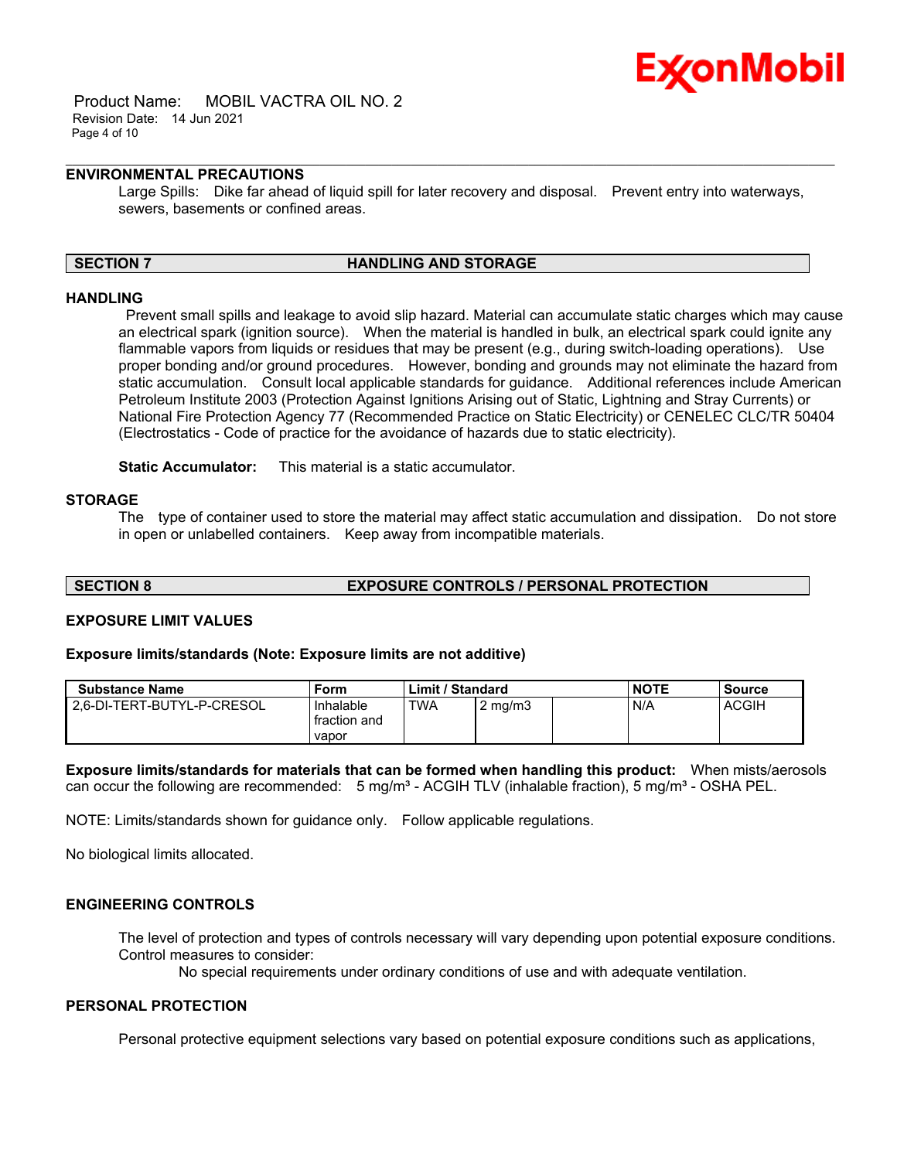

 Product Name: MOBIL VACTRA OIL NO. 2 Revision Date: 14 Jun 2021 Page 4 of 10

## **ENVIRONMENTAL PRECAUTIONS**

Large Spills: Dike far ahead of liquid spill for later recovery and disposal. Prevent entry into waterways, sewers, basements or confined areas.

\_\_\_\_\_\_\_\_\_\_\_\_\_\_\_\_\_\_\_\_\_\_\_\_\_\_\_\_\_\_\_\_\_\_\_\_\_\_\_\_\_\_\_\_\_\_\_\_\_\_\_\_\_\_\_\_\_\_\_\_\_\_\_\_\_\_\_\_\_\_\_\_\_\_\_\_\_\_\_\_\_\_\_\_\_\_\_\_\_\_\_\_\_\_\_\_\_\_\_\_\_\_\_\_\_\_\_\_\_\_\_\_\_\_\_\_\_\_

#### **SECTION 7 HANDLING AND STORAGE**

#### **HANDLING**

 Prevent small spills and leakage to avoid slip hazard. Material can accumulate static charges which may cause an electrical spark (ignition source). When the material is handled in bulk, an electrical spark could ignite any flammable vapors from liquids or residues that may be present (e.g., during switch-loading operations). Use proper bonding and/or ground procedures. However, bonding and grounds may not eliminate the hazard from static accumulation. Consult local applicable standards for guidance. Additional references include American Petroleum Institute 2003 (Protection Against Ignitions Arising out of Static, Lightning and Stray Currents) or National Fire Protection Agency 77 (Recommended Practice on Static Electricity) or CENELEC CLC/TR 50404 (Electrostatics - Code of practice for the avoidance of hazards due to static electricity).

**Static Accumulator:** This material is a static accumulator.

### **STORAGE**

The type of container used to store the material may affect static accumulation and dissipation. Do not store in open or unlabelled containers. Keep away from incompatible materials.

**SECTION 8 EXPOSURE CONTROLS / PERSONAL PROTECTION**

## **EXPOSURE LIMIT VALUES**

#### **Exposure limits/standards (Note: Exposure limits are not additive)**

| <b>Substance Name</b>        | Form                               | Limit / Standard |                  | <b>NOTE</b> | <b>Source</b> |
|------------------------------|------------------------------------|------------------|------------------|-------------|---------------|
| 2.6-DI-TERT-BUTYL-P-CRESOL - | Inhalable<br>fraction and<br>vapor | <b>TWA</b>       | $2 \text{ mg/m}$ | N/A         | <b>ACGIH</b>  |

**Exposure limits/standards for materials that can be formed when handling this product:** When mists/aerosols can occur the following are recommended:  $5 \text{ mg/m}^3$  - ACGIH TLV (inhalable fraction),  $5 \text{ mg/m}^3$  - OSHA PEL.

NOTE: Limits/standards shown for guidance only. Follow applicable regulations.

No biological limits allocated.

## **ENGINEERING CONTROLS**

The level of protection and types of controls necessary will vary depending upon potential exposure conditions. Control measures to consider:

No special requirements under ordinary conditions of use and with adequate ventilation.

#### **PERSONAL PROTECTION**

Personal protective equipment selections vary based on potential exposure conditions such as applications,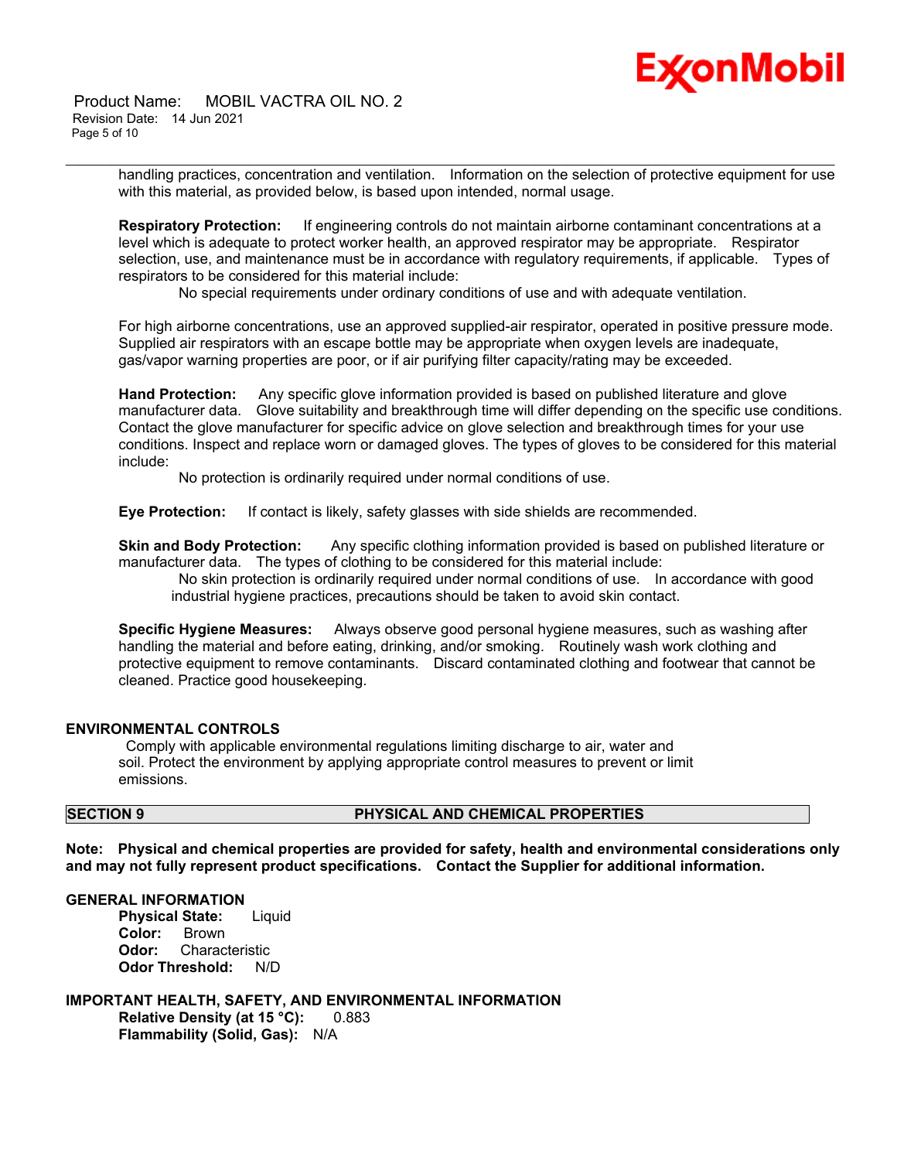# **Ex⁄onMobil**

 Product Name: MOBIL VACTRA OIL NO. 2 Revision Date: 14 Jun 2021 Page 5 of 10

> handling practices, concentration and ventilation. Information on the selection of protective equipment for use with this material, as provided below, is based upon intended, normal usage.

\_\_\_\_\_\_\_\_\_\_\_\_\_\_\_\_\_\_\_\_\_\_\_\_\_\_\_\_\_\_\_\_\_\_\_\_\_\_\_\_\_\_\_\_\_\_\_\_\_\_\_\_\_\_\_\_\_\_\_\_\_\_\_\_\_\_\_\_\_\_\_\_\_\_\_\_\_\_\_\_\_\_\_\_\_\_\_\_\_\_\_\_\_\_\_\_\_\_\_\_\_\_\_\_\_\_\_\_\_\_\_\_\_\_\_\_\_\_

**Respiratory Protection:** If engineering controls do not maintain airborne contaminant concentrations at a level which is adequate to protect worker health, an approved respirator may be appropriate. Respirator selection, use, and maintenance must be in accordance with regulatory requirements, if applicable. Types of respirators to be considered for this material include:

No special requirements under ordinary conditions of use and with adequate ventilation.

For high airborne concentrations, use an approved supplied-air respirator, operated in positive pressure mode. Supplied air respirators with an escape bottle may be appropriate when oxygen levels are inadequate, gas/vapor warning properties are poor, or if air purifying filter capacity/rating may be exceeded.

**Hand Protection:** Any specific glove information provided is based on published literature and glove manufacturer data. Glove suitability and breakthrough time will differ depending on the specific use conditions. Contact the glove manufacturer for specific advice on glove selection and breakthrough times for your use conditions. Inspect and replace worn or damaged gloves. The types of gloves to be considered for this material include:

No protection is ordinarily required under normal conditions of use.

**Eye Protection:** If contact is likely, safety glasses with side shields are recommended.

**Skin and Body Protection:** Any specific clothing information provided is based on published literature or manufacturer data. The types of clothing to be considered for this material include:

 No skin protection is ordinarily required under normal conditions of use. In accordance with good industrial hygiene practices, precautions should be taken to avoid skin contact.

**Specific Hygiene Measures:** Always observe good personal hygiene measures, such as washing after handling the material and before eating, drinking, and/or smoking. Routinely wash work clothing and protective equipment to remove contaminants. Discard contaminated clothing and footwear that cannot be cleaned. Practice good housekeeping.

### **ENVIRONMENTAL CONTROLS**

 Comply with applicable environmental regulations limiting discharge to air, water and soil. Protect the environment by applying appropriate control measures to prevent or limit emissions.

## **SECTION 9 PHYSICAL AND CHEMICAL PROPERTIES**

**Note: Physical and chemical properties are provided for safety, health and environmental considerations only and may not fully represent product specifications. Contact the Supplier for additional information.**

#### **GENERAL INFORMATION**

**Physical State:** Liquid **Color:** Brown **Odor:** Characteristic **Odor Threshold:** N/D

**IMPORTANT HEALTH, SAFETY, AND ENVIRONMENTAL INFORMATION Relative Density (at 15 °C):** 0.883 **Flammability (Solid, Gas):** N/A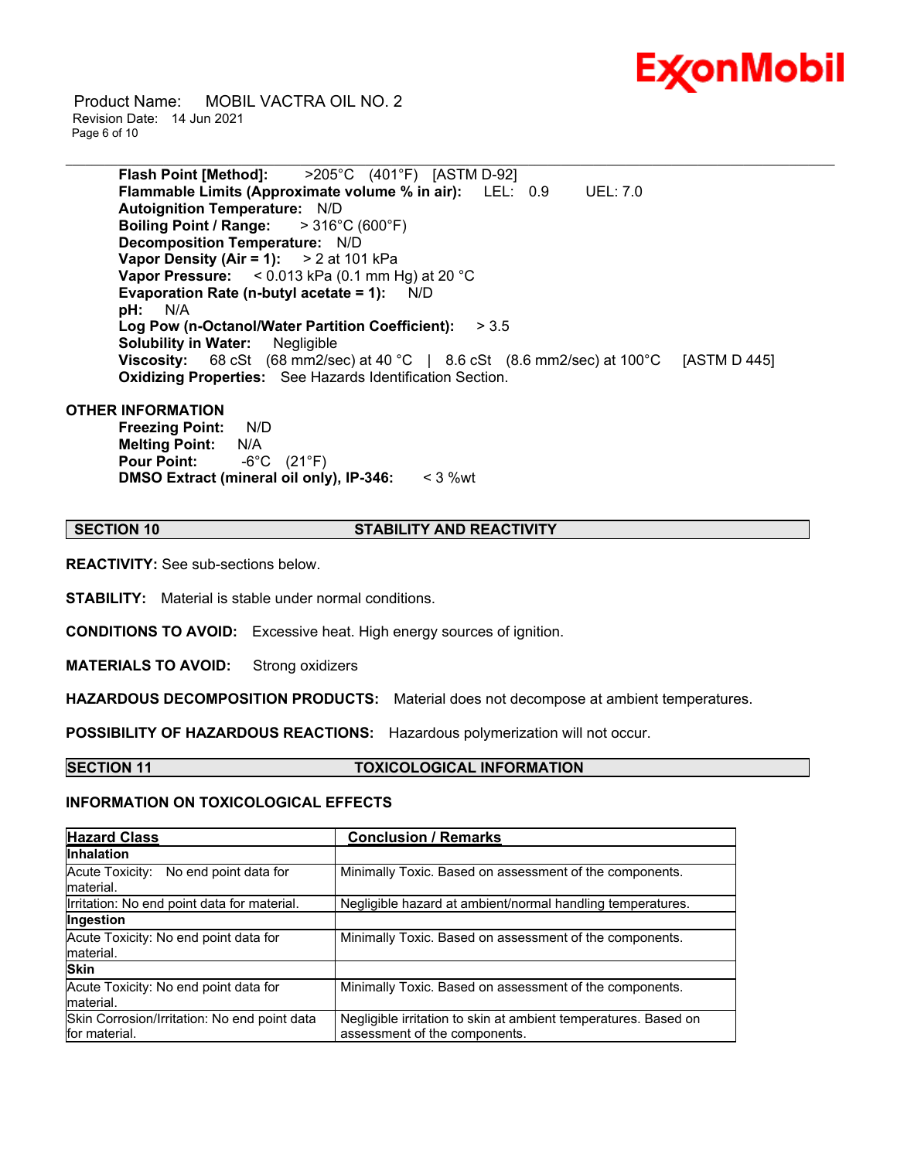

 Product Name: MOBIL VACTRA OIL NO. 2 Revision Date: 14 Jun 2021 Page 6 of 10

> **Flash Point [Method]:** >205°C (401°F) [ASTM D-92] **Flammable Limits (Approximate volume % in air):** LEL: 0.9 UEL: 7.0 **Autoignition Temperature:** N/D **Boiling Point / Range:** > 316°C (600°F) **Decomposition Temperature:** N/D **Vapor Density (Air = 1):** > 2 at 101 kPa **Vapor Pressure:** < 0.013 kPa (0.1 mm Hg) at 20 °C **Evaporation Rate (n-butyl acetate = 1):** N/D **pH:** N/A **Log Pow (n-Octanol/Water Partition Coefficient):** > 3.5 **Solubility in Water:** Negligible **Viscosity:** 68 cSt (68 mm2/sec) at 40 °C | 8.6 cSt (8.6 mm2/sec) at 100 °C [ASTM D 445] **Oxidizing Properties:** See Hazards Identification Section.

\_\_\_\_\_\_\_\_\_\_\_\_\_\_\_\_\_\_\_\_\_\_\_\_\_\_\_\_\_\_\_\_\_\_\_\_\_\_\_\_\_\_\_\_\_\_\_\_\_\_\_\_\_\_\_\_\_\_\_\_\_\_\_\_\_\_\_\_\_\_\_\_\_\_\_\_\_\_\_\_\_\_\_\_\_\_\_\_\_\_\_\_\_\_\_\_\_\_\_\_\_\_\_\_\_\_\_\_\_\_\_\_\_\_\_\_\_\_

#### **OTHER INFORMATION**

**Freezing Point:** N/D **Melting Point:** N/A **Pour Point:** -6°C (21°F) **DMSO Extract (mineral oil only), IP-346:** < 3 %wt

#### **SECTION 10 STABILITY AND REACTIVITY**

**REACTIVITY:** See sub-sections below.

**STABILITY:** Material is stable under normal conditions.

**CONDITIONS TO AVOID:** Excessive heat. High energy sources of ignition.

**MATERIALS TO AVOID:** Strong oxidizers

**HAZARDOUS DECOMPOSITION PRODUCTS:** Material does not decompose at ambient temperatures.

**POSSIBILITY OF HAZARDOUS REACTIONS:** Hazardous polymerization will not occur.

#### **SECTION 11 TOXICOLOGICAL INFORMATION**

#### **INFORMATION ON TOXICOLOGICAL EFFECTS**

| <b>Hazard Class</b>                                           | <b>Conclusion / Remarks</b>                                                                      |  |  |
|---------------------------------------------------------------|--------------------------------------------------------------------------------------------------|--|--|
| <b>Inhalation</b>                                             |                                                                                                  |  |  |
| Acute Toxicity: No end point data for<br>material.            | Minimally Toxic. Based on assessment of the components.                                          |  |  |
| Irritation: No end point data for material.                   | Negligible hazard at ambient/normal handling temperatures.                                       |  |  |
| Ingestion                                                     |                                                                                                  |  |  |
| Acute Toxicity: No end point data for<br>material.            | Minimally Toxic. Based on assessment of the components.                                          |  |  |
| <b>Skin</b>                                                   |                                                                                                  |  |  |
| Acute Toxicity: No end point data for<br>material.            | Minimally Toxic. Based on assessment of the components.                                          |  |  |
| Skin Corrosion/Irritation: No end point data<br>for material. | Negligible irritation to skin at ambient temperatures. Based on<br>assessment of the components. |  |  |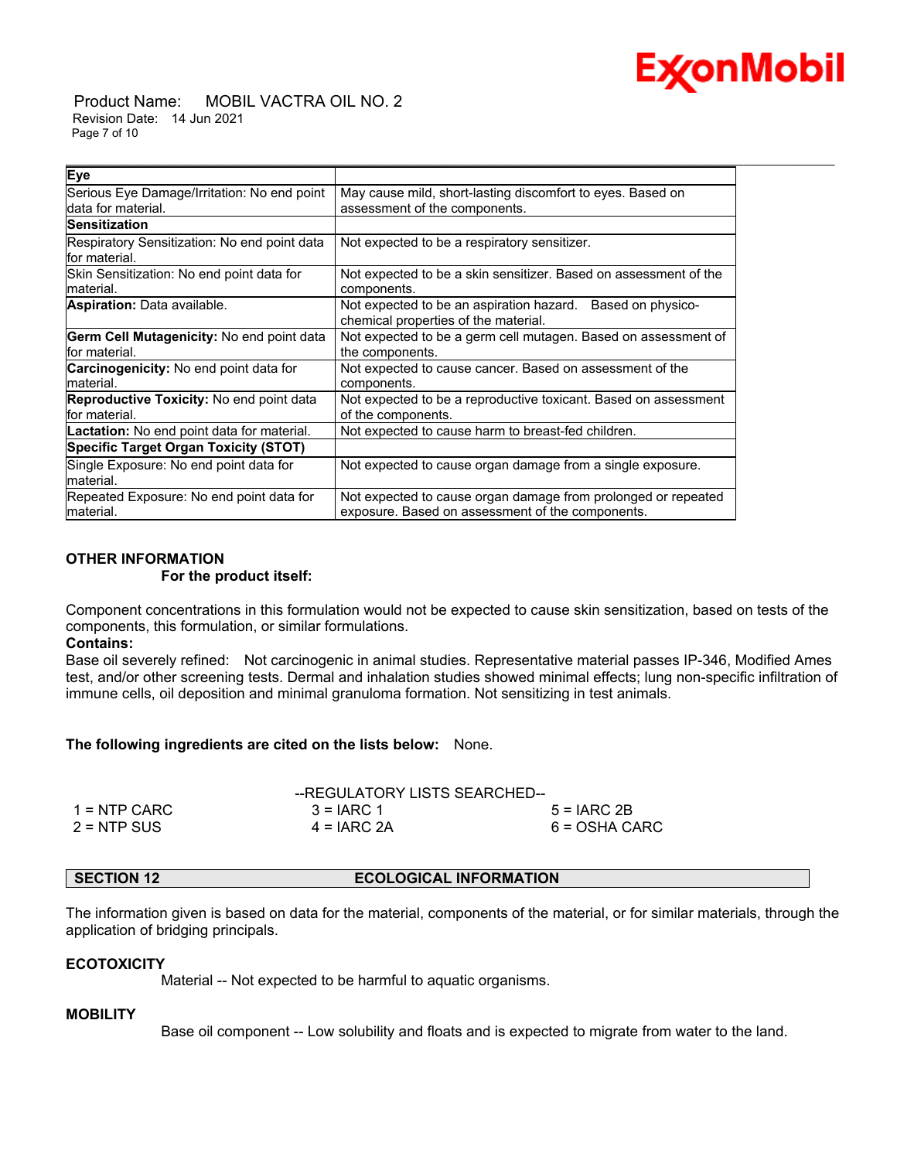

 Product Name: MOBIL VACTRA OIL NO. 2 Revision Date: 14 Jun 2021 Page 7 of 10

| Eye                                               |                                                                  |  |  |
|---------------------------------------------------|------------------------------------------------------------------|--|--|
| Serious Eye Damage/Irritation: No end point       | May cause mild, short-lasting discomfort to eyes. Based on       |  |  |
| data for material.                                | assessment of the components.                                    |  |  |
| Sensitization                                     |                                                                  |  |  |
| Respiratory Sensitization: No end point data      | Not expected to be a respiratory sensitizer.                     |  |  |
| lfor material.                                    |                                                                  |  |  |
| Skin Sensitization: No end point data for         | Not expected to be a skin sensitizer. Based on assessment of the |  |  |
| material.                                         | components.                                                      |  |  |
| <b>Aspiration:</b> Data available.                | Not expected to be an aspiration hazard. Based on physico-       |  |  |
|                                                   | chemical properties of the material.                             |  |  |
| Germ Cell Mutagenicity: No end point data         | Not expected to be a germ cell mutagen. Based on assessment of   |  |  |
| lfor material.                                    | the components.                                                  |  |  |
| Carcinogenicity: No end point data for            | Not expected to cause cancer. Based on assessment of the         |  |  |
| material.                                         | components.                                                      |  |  |
| <b>Reproductive Toxicity:</b> No end point data   | Not expected to be a reproductive toxicant. Based on assessment  |  |  |
| lfor material.                                    | of the components.                                               |  |  |
| <b>Lactation:</b> No end point data for material. | Not expected to cause harm to breast-fed children.               |  |  |
| <b>Specific Target Organ Toxicity (STOT)</b>      |                                                                  |  |  |
| Single Exposure: No end point data for            | Not expected to cause organ damage from a single exposure.       |  |  |
| lmaterial.                                        |                                                                  |  |  |
| Repeated Exposure: No end point data for          | Not expected to cause organ damage from prolonged or repeated    |  |  |
| lmaterial.                                        | exposure. Based on assessment of the components.                 |  |  |

\_\_\_\_\_\_\_\_\_\_\_\_\_\_\_\_\_\_\_\_\_\_\_\_\_\_\_\_\_\_\_\_\_\_\_\_\_\_\_\_\_\_\_\_\_\_\_\_\_\_\_\_\_\_\_\_\_\_\_\_\_\_\_\_\_\_\_\_\_\_\_\_\_\_\_\_\_\_\_\_\_\_\_\_\_\_\_\_\_\_\_\_\_\_\_\_\_\_\_\_\_\_\_\_\_\_\_\_\_\_\_\_\_\_\_\_\_\_

#### **OTHER INFORMATION For the product itself:**

Component concentrations in this formulation would not be expected to cause skin sensitization, based on tests of the components, this formulation, or similar formulations.

### **Contains:**

Base oil severely refined: Not carcinogenic in animal studies. Representative material passes IP-346, Modified Ames test, and/or other screening tests. Dermal and inhalation studies showed minimal effects; lung non-specific infiltration of immune cells, oil deposition and minimal granuloma formation. Not sensitizing in test animals.

### **The following ingredients are cited on the lists below:** None.

|                | --REGULATORY LISTS SEARCHED-- |               |
|----------------|-------------------------------|---------------|
| $1 =$ NTP CARC | $3 = IARC 1$                  | $5 = IARC2B$  |
| $2 = NTP$ SUS  | $4 = IARC 2A$                 | 6 = OSHA CARC |

### **SECTION 12 ECOLOGICAL INFORMATION**

The information given is based on data for the material, components of the material, or for similar materials, through the application of bridging principals.

### **ECOTOXICITY**

Material -- Not expected to be harmful to aquatic organisms.

### **MOBILITY**

Base oil component -- Low solubility and floats and is expected to migrate from water to the land.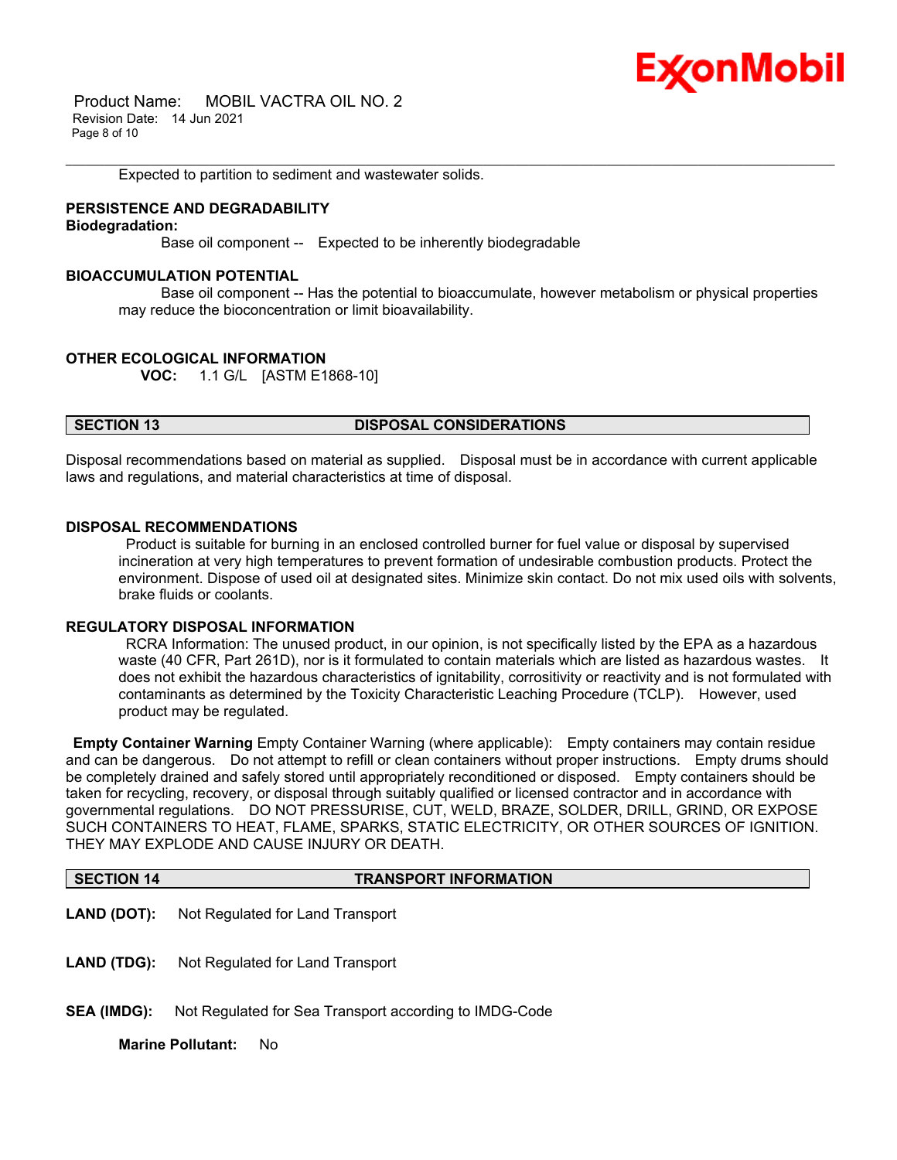## Ex⁄onMobil

 Product Name: MOBIL VACTRA OIL NO. 2 Revision Date: 14 Jun 2021 Page 8 of 10

Expected to partition to sediment and wastewater solids.

#### **PERSISTENCE AND DEGRADABILITY**

#### **Biodegradation:**

Base oil component -- Expected to be inherently biodegradable

#### **BIOACCUMULATION POTENTIAL**

 Base oil component -- Has the potential to bioaccumulate, however metabolism or physical properties may reduce the bioconcentration or limit bioavailability.

\_\_\_\_\_\_\_\_\_\_\_\_\_\_\_\_\_\_\_\_\_\_\_\_\_\_\_\_\_\_\_\_\_\_\_\_\_\_\_\_\_\_\_\_\_\_\_\_\_\_\_\_\_\_\_\_\_\_\_\_\_\_\_\_\_\_\_\_\_\_\_\_\_\_\_\_\_\_\_\_\_\_\_\_\_\_\_\_\_\_\_\_\_\_\_\_\_\_\_\_\_\_\_\_\_\_\_\_\_\_\_\_\_\_\_\_\_\_

#### **OTHER ECOLOGICAL INFORMATION**

**VOC:** 1.1 G/L [ASTM E1868-10]

#### **SECTION 13 DISPOSAL CONSIDERATIONS**

Disposal recommendations based on material as supplied. Disposal must be in accordance with current applicable laws and regulations, and material characteristics at time of disposal.

#### **DISPOSAL RECOMMENDATIONS**

 Product is suitable for burning in an enclosed controlled burner for fuel value or disposal by supervised incineration at very high temperatures to prevent formation of undesirable combustion products. Protect the environment. Dispose of used oil at designated sites. Minimize skin contact. Do not mix used oils with solvents, brake fluids or coolants.

#### **REGULATORY DISPOSAL INFORMATION**

 RCRA Information: The unused product, in our opinion, is not specifically listed by the EPA as a hazardous waste (40 CFR, Part 261D), nor is it formulated to contain materials which are listed as hazardous wastes. It does not exhibit the hazardous characteristics of ignitability, corrositivity or reactivity and is not formulated with contaminants as determined by the Toxicity Characteristic Leaching Procedure (TCLP). However, used product may be regulated.

**Empty Container Warning** Empty Container Warning (where applicable): Empty containers may contain residue and can be dangerous. Do not attempt to refill or clean containers without proper instructions. Empty drums should be completely drained and safely stored until appropriately reconditioned or disposed. Empty containers should be taken for recycling, recovery, or disposal through suitably qualified or licensed contractor and in accordance with governmental regulations. DO NOT PRESSURISE, CUT, WELD, BRAZE, SOLDER, DRILL, GRIND, OR EXPOSE SUCH CONTAINERS TO HEAT, FLAME, SPARKS, STATIC ELECTRICITY, OR OTHER SOURCES OF IGNITION. THEY MAY EXPLODE AND CAUSE INJURY OR DEATH.

#### **SECTION 14 TRANSPORT INFORMATION**

- **LAND (DOT):** Not Regulated for Land Transport
- **LAND (TDG):** Not Regulated for Land Transport
- **SEA (IMDG):** Not Regulated for Sea Transport according to IMDG-Code

**Marine Pollutant:** No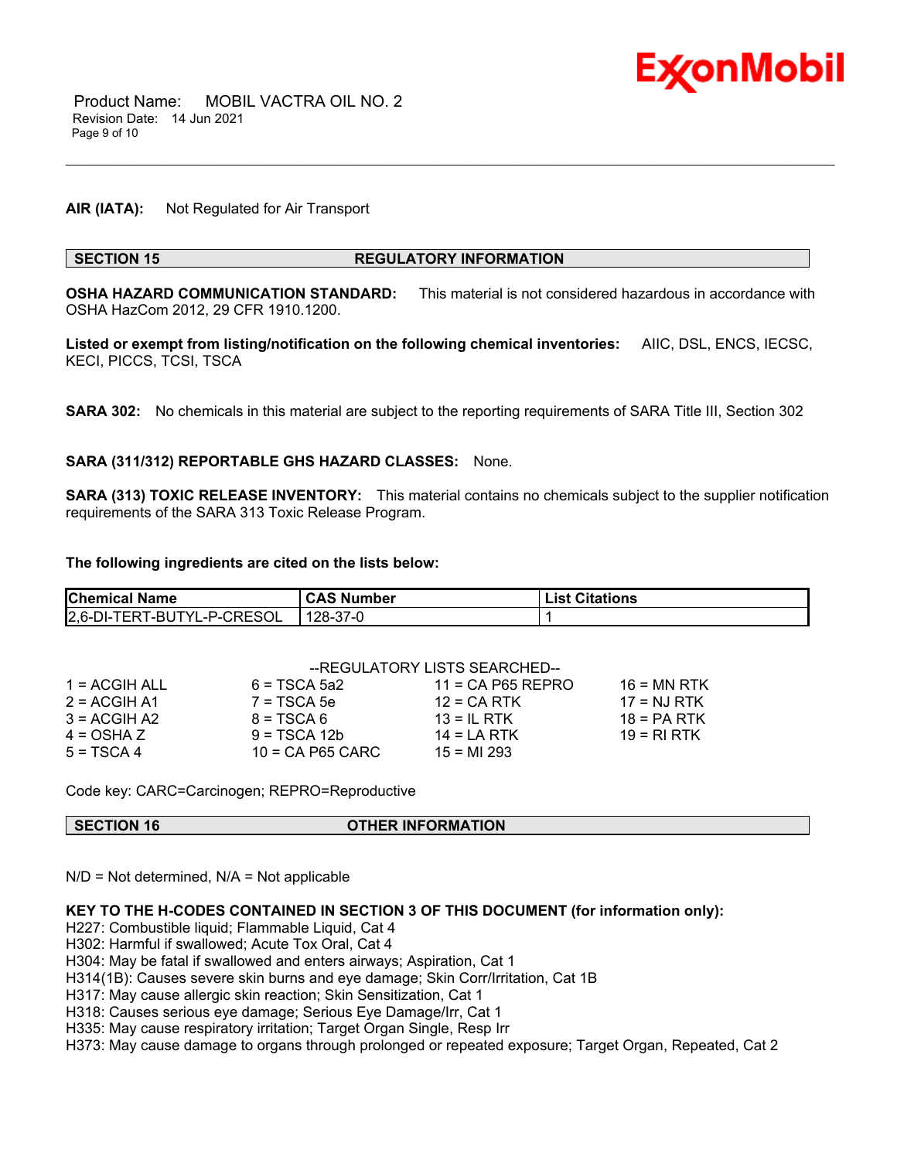

### **AIR (IATA):** Not Regulated for Air Transport

#### **SECTION 15 REGULATORY INFORMATION**

**OSHA HAZARD COMMUNICATION STANDARD:** This material is not considered hazardous in accordance with OSHA HazCom 2012, 29 CFR 1910.1200.

\_\_\_\_\_\_\_\_\_\_\_\_\_\_\_\_\_\_\_\_\_\_\_\_\_\_\_\_\_\_\_\_\_\_\_\_\_\_\_\_\_\_\_\_\_\_\_\_\_\_\_\_\_\_\_\_\_\_\_\_\_\_\_\_\_\_\_\_\_\_\_\_\_\_\_\_\_\_\_\_\_\_\_\_\_\_\_\_\_\_\_\_\_\_\_\_\_\_\_\_\_\_\_\_\_\_\_\_\_\_\_\_\_\_\_\_\_\_

**Listed or exempt from listing/notification on the following chemical inventories:** AIIC, DSL, ENCS, IECSC, KECI, PICCS, TCSI, TSCA

**SARA 302:** No chemicals in this material are subject to the reporting requirements of SARA Title III, Section 302

#### **SARA (311/312) REPORTABLE GHS HAZARD CLASSES:** None.

**SARA (313) TOXIC RELEASE INVENTORY:** This material contains no chemicals subject to the supplier notification requirements of the SARA 313 Toxic Release Program.

#### **The following ingredients are cited on the lists below:**

| <b>Chemical Name</b>       | <b>CAS Number</b> | <b>List Citations</b> |
|----------------------------|-------------------|-----------------------|
| 2,6-DI-TERT-BUTYL-P-CRESOL | 128-37-0          |                       |

|                 | --REGULATORY LISTS SEARCHED-- |                     |               |
|-----------------|-------------------------------|---------------------|---------------|
| $1 = ACGIH ALL$ | $6 = TSCA 5a2$                | $11 = CA$ P65 REPRO | $16 = MN$ RTK |
| $2 = ACGIH A1$  | $7 = TSCA5e$                  | $12 = CA$ RTK       | $17 = NJ RTK$ |
| $3 = ACGIH A2$  | $8 = TSCA6$                   | $13 = IL$ RTK       | $18 = PA RTK$ |
| 4 = OSHA Z      | $9 = TSCA 12b$                | $14 = LA RTK$       | 19 = RI RTK   |
| 5 = TSCA 4      | $10 = CA$ P65 CARC            | $15 = M1 293$       |               |

Code key: CARC=Carcinogen; REPRO=Reproductive

**SECTION 16 OTHER INFORMATION**

 $N/D$  = Not determined,  $N/A$  = Not applicable

### **KEY TO THE H-CODES CONTAINED IN SECTION 3 OF THIS DOCUMENT (for information only):**

H227: Combustible liquid; Flammable Liquid, Cat 4

H302: Harmful if swallowed; Acute Tox Oral, Cat 4

H304: May be fatal if swallowed and enters airways; Aspiration, Cat 1

H314(1B): Causes severe skin burns and eye damage; Skin Corr/Irritation, Cat 1B

H317: May cause allergic skin reaction; Skin Sensitization, Cat 1

H318: Causes serious eye damage; Serious Eye Damage/Irr, Cat 1

H335: May cause respiratory irritation; Target Organ Single, Resp Irr

H373: May cause damage to organs through prolonged or repeated exposure; Target Organ, Repeated, Cat 2